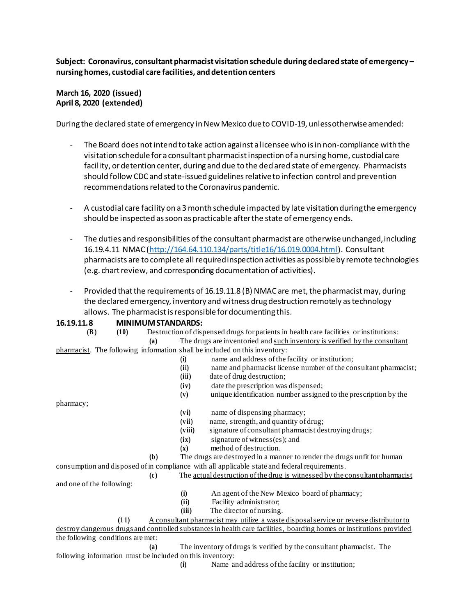**Subject: Coronavirus, consultantpharmacist visitation schedule during declared state of emergency – nursinghomes, custodial care facilities, and detention centers**

## **March 16, 2020 (issued) April 8, 2020 (extended)**

During the declared state of emergency in New Mexico due to COVID-19, unless otherwise amended:

- The Board does not intend to take action against a licensee who is in non-compliance with the visitation schedulefor a consultant pharmacistinspection of a nursing home, custodial care facility, or detention center, during and due to the declared state of emergency. Pharmacists should follow CDC and state-issued guidelinesrelativeto infection control and prevention recommendations related to the Coronavirus pandemic.
- A custodial care facility on a 3 month schedule impacted by late visitation duringthe emergency should be inspected as soon as practicable after the state of emergency ends.
- The duties and responsibilities of the consultant pharmacist are otherwise unchanged, including 16.19.4.11 NMAC [\(http://164.64.110.134/parts/title16/16.019.0004.html\)](http://164.64.110.134/parts/title16/16.019.0004.html). Consultant pharmacists are to complete all required inspection activities as possible by remote technologies (e.g. chart review, and corresponding documentation of activities).
- Provided that the requirements of 16.19.11.8 (B) NMAC are met, the pharmacist may, during the declared emergency, inventory and witness drug destruction remotely astechnology allows. The pharmacistis responsiblefordocumenting this.

## **16.19.11.8 MINIMUM STANDARDS:**

| (B)                                                       | (10) |                             |        | Destruction of dispensed drugs for patients in health care facilities or institutions:                               |
|-----------------------------------------------------------|------|-----------------------------|--------|----------------------------------------------------------------------------------------------------------------------|
|                                                           |      | (a)                         |        | The drugs are inventoried and such inventory is verified by the consultant                                           |
|                                                           |      |                             |        | pharmacist. The following information shall be included on this inventory:                                           |
|                                                           |      |                             | (i)    | name and address of the facility or institution;                                                                     |
|                                                           |      |                             | (ii)   | name and pharmacist license number of the consultant pharmacist;                                                     |
|                                                           |      |                             | (iii)  | date of drug destruction;                                                                                            |
|                                                           |      |                             | (iv)   | date the prescription was dispensed;                                                                                 |
|                                                           |      |                             | (v)    | unique identification number assigned to the prescription by the                                                     |
| pharmacy;                                                 |      |                             |        |                                                                                                                      |
|                                                           |      |                             | (vi)   | name of dispensing pharmacy;                                                                                         |
|                                                           |      |                             | (vii)  | name, strength, and quantity of drug;                                                                                |
|                                                           |      |                             | (viii) | signature of consultant pharmacist destroying drugs;                                                                 |
|                                                           |      |                             | (ix)   | signature of witness(es); and                                                                                        |
|                                                           |      |                             | (x)    | method of destruction.                                                                                               |
|                                                           |      | (b)                         |        | The drugs are destroyed in a manner to render the drugs unfit for human                                              |
|                                                           |      |                             |        | consumption and disposed of in compliance with all applicable state and federal requirements.                        |
|                                                           |      | $\left( \mathbf{c} \right)$ |        | The actual destruction of the drug is witnessed by the consultant pharmacist                                         |
| and one of the following:                                 |      |                             |        |                                                                                                                      |
|                                                           |      |                             | (i)    | An agent of the New Mexico board of pharmacy;                                                                        |
|                                                           |      |                             | (ii)   | Facility administrator;                                                                                              |
|                                                           |      |                             | (iii)  | The director of nursing.                                                                                             |
|                                                           | (11) |                             |        | A consultant pharmacist may utilize a waste disposal service or reverse distributor to                               |
|                                                           |      |                             |        | destroy dangerous drugs and controlled substances in health care facilities, boarding homes or institutions provided |
| the following conditions are met:                         |      |                             |        |                                                                                                                      |
|                                                           |      | (a)                         |        | The inventory of drugs is verified by the consultant pharmacist. The                                                 |
| following information must be included on this inventory: |      |                             |        |                                                                                                                      |
|                                                           |      |                             | (i)    | Name and address of the facility or institution;                                                                     |